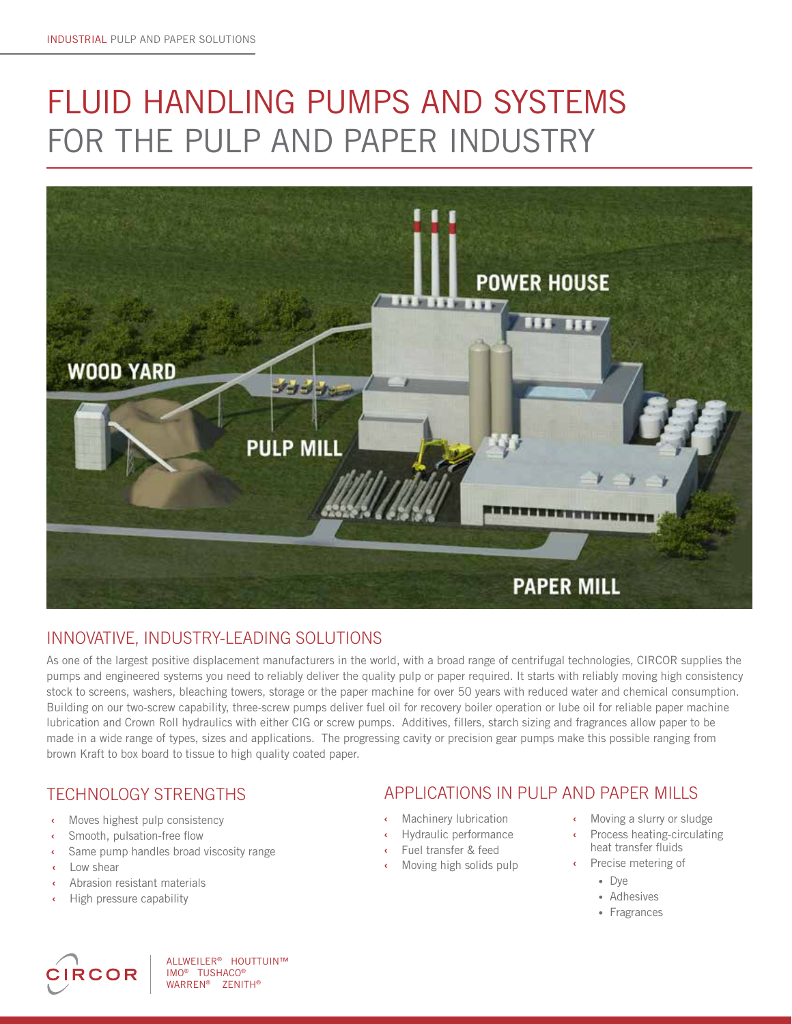# FLUID HANDLING PUMPS AND SYSTEMS FOR THE PULP AND PAPER INDUSTRY



## INNOVATIVE, INDUSTRY-LEADING SOLUTIONS

As one of the largest positive displacement manufacturers in the world, with a broad range of centrifugal technologies, CIRCOR supplies the pumps and engineered systems you need to reliably deliver the quality pulp or paper required. It starts with reliably moving high consistency stock to screens, washers, bleaching towers, storage or the paper machine for over 50 years with reduced water and chemical consumption. Building on our two-screw capability, three-screw pumps deliver fuel oil for recovery boiler operation or lube oil for reliable paper machine lubrication and Crown Roll hydraulics with either CIG or screw pumps. Additives, fillers, starch sizing and fragrances allow paper to be made in a wide range of types, sizes and applications. The progressing cavity or precision gear pumps make this possible ranging from brown Kraft to box board to tissue to high quality coated paper.

- **‹** Moves highest pulp consistency
- **‹** Smooth, pulsation-free flow
- Same pump handles broad viscosity range
- 
- **‹** Abrasion resistant materials
- **‹** High pressure capability



ALLWEILER® HOUTTUIN™ IMO<sup>®</sup> TUSHACO<sup>®</sup><br>WARREN® ZENIT ZENITH®

## TECHNOLOGY STRENGTHS APPLICATIONS IN PULP AND PAPER MILLS

- **‹** Machinery lubrication
- **‹** Hydraulic performance
- **‹** Fuel transfer & feed
- *•* Low shear **b** *• • • • • • • • • • • • • • • • • • • • • • • • • • • • •* **•** *• •* **• •**
- **‹** Moving a slurry or sludge
	- **‹** Process heating-circulating heat transfer fluids
	- - Dye
		- Adhesives
		- Fragrances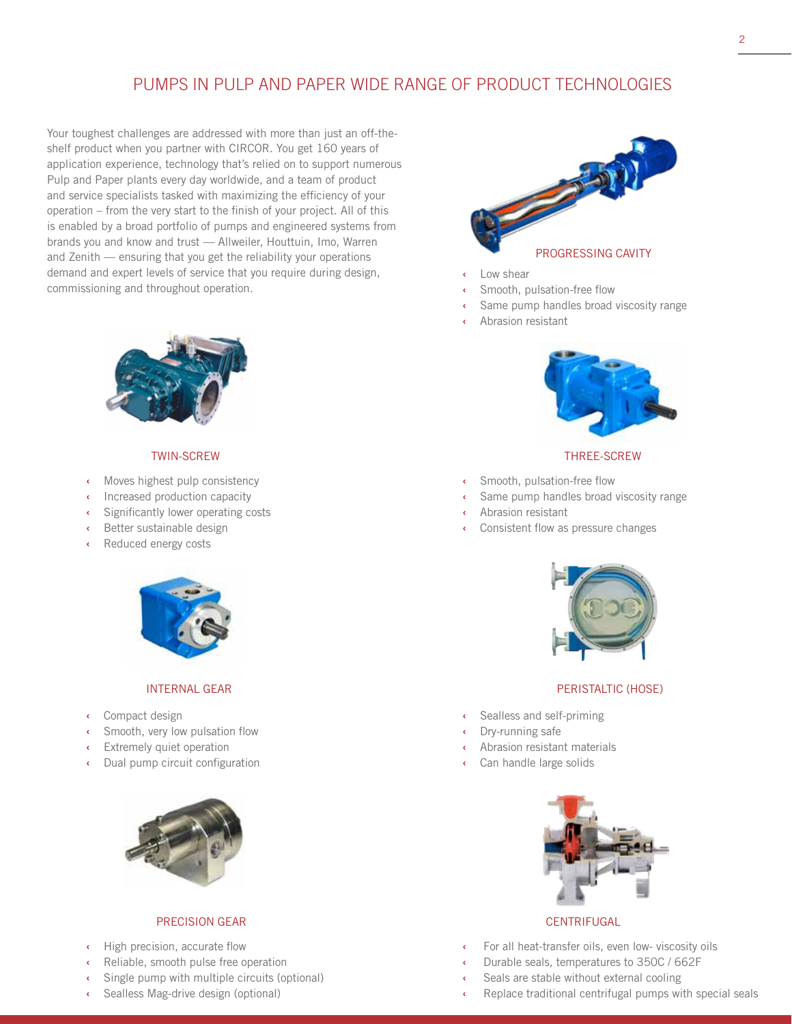## PUMPS IN PULP AND PAPER WIDE RANGE OF PRODUCT TECHNOLOGIES

Your toughest challenges are addressed with more than just an off-theshelf product when you partner with CIRCOR. You get 160 years of application experience, technology that's relied on to support numerous Pulp and Paper plants every day worldwide, and a team of product and service specialists tasked with maximizing the efficiency of your operation – from the very start to the finish of your project. All of this is enabled by a broad portfolio of pumps and engineered systems from brands you and know and trust — Allweiler, Houttuin, Imo, Warren and Zenith — ensuring that you get the reliability your operations demand and expert levels of service that you require during design, commissioning and throughout operation.



#### TWIN-SCREW

- **‹** Moves highest pulp consistency
- **‹** Increased production capacity
- **‹** Significantly lower operating costs
- **‹** Better sustainable design
- **‹** Reduced energy costs



#### INTERNAL GEAR

- **‹** Compact design
- **‹** Smooth, very low pulsation flow
- **Extremely quiet operation**
- **‹** Dual pump circuit configuration



#### PRECISION GEAR

- **‹** High precision, accurate flow
- **‹** Reliable, smooth pulse free operation
- **‹** Single pump with multiple circuits (optional)
- **‹** Sealless Mag-drive design (optional)



- **‹** Low shear
- **‹** Smooth, pulsation-free flow
- Same pump handles broad viscosity range
- **‹** Abrasion resistant



#### THREE-SCREW

- **‹** Smooth, pulsation-free flow
- Same pump handles broad viscosity range
- **‹** Abrasion resistant
- **‹** Consistent flow as pressure changes



#### PERISTALTIC (HOSE)

- **‹** Sealless and self-priming
- **‹** Dry-running safe
- **‹** Abrasion resistant materials
- **‹** Can handle large solids



### **CENTRIFUGAL**

- **‹** For all heat-transfer oils, even low- viscosity oils
- **‹** Durable seals, temperatures to 350C / 662F
- Seals are stable without external cooling
- **‹** Replace traditional centrifugal pumps with special seals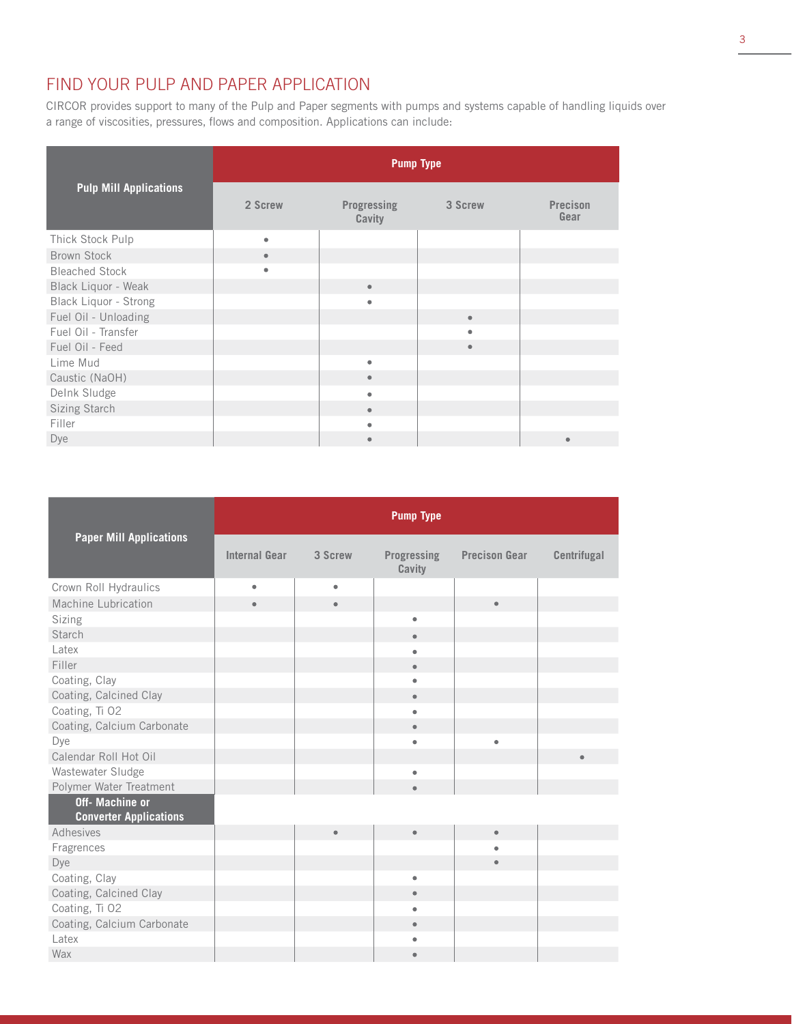## FIND YOUR PULP AND PAPER APPLICATION

CIRCOR provides support to many of the Pulp and Paper segments with pumps and systems capable of handling liquids over a range of viscosities, pressures, flows and composition. Applications can include:

|                               | <b>Pump Type</b> |                       |           |                         |  |  |
|-------------------------------|------------------|-----------------------|-----------|-------------------------|--|--|
| <b>Pulp Mill Applications</b> | 2 Screw          | Progressing<br>Cavity | 3 Screw   | <b>Precison</b><br>Gear |  |  |
| Thick Stock Pulp              | $\bullet$        |                       |           |                         |  |  |
| <b>Brown Stock</b>            | $\bullet$        |                       |           |                         |  |  |
| <b>Bleached Stock</b>         | ۰                |                       |           |                         |  |  |
| Black Liquor - Weak           |                  | $\bullet$             |           |                         |  |  |
| Black Liquor - Strong         |                  | ٠                     |           |                         |  |  |
| Fuel Oil - Unloading          |                  |                       | $\bullet$ |                         |  |  |
| Fuel Oil - Transfer           |                  |                       | ٠         |                         |  |  |
| Fuel Oil - Feed               |                  |                       | $\bullet$ |                         |  |  |
| Lime Mud                      |                  | ۰                     |           |                         |  |  |
| Caustic (NaOH)                |                  | $\bullet$             |           |                         |  |  |
| Delnk Sludge                  |                  | ٠                     |           |                         |  |  |
| Sizing Starch                 |                  | $\bullet$             |           |                         |  |  |
| Filler                        |                  | ٠                     |           |                         |  |  |
| Dye                           |                  | $\bullet$             |           | ۰                       |  |  |

|                                                         | <b>Pump Type</b>     |           |                              |                      |             |  |
|---------------------------------------------------------|----------------------|-----------|------------------------------|----------------------|-------------|--|
| <b>Paper Mill Applications</b>                          | <b>Internal Gear</b> | 3 Screw   | <b>Progressing</b><br>Cavity | <b>Precison Gear</b> | Centrifugal |  |
| Crown Roll Hydraulics                                   | $\bullet$            | ۰         |                              |                      |             |  |
| Machine Lubrication                                     | $\bullet$            | $\bullet$ |                              | $\bullet$            |             |  |
| Sizing                                                  |                      |           | ۰                            |                      |             |  |
| Starch                                                  |                      |           | $\bullet$                    |                      |             |  |
| Latex                                                   |                      |           | ۸                            |                      |             |  |
| Filler                                                  |                      |           | $\bullet$                    |                      |             |  |
| Coating, Clay                                           |                      |           | ٠                            |                      |             |  |
| Coating, Calcined Clay                                  |                      |           | $\bullet$                    |                      |             |  |
| Coating, Ti O2                                          |                      |           | ٠                            |                      |             |  |
| Coating, Calcium Carbonate                              |                      |           | $\bullet$                    |                      |             |  |
| Dye                                                     |                      |           | ٠                            | $\bullet$            |             |  |
| Calendar Roll Hot Oil                                   |                      |           |                              |                      | $\bullet$   |  |
| Wastewater Sludge                                       |                      |           | ٠                            |                      |             |  |
| Polymer Water Treatment                                 |                      |           | $\bullet$                    |                      |             |  |
| <b>Off-</b> Machine or<br><b>Converter Applications</b> |                      |           |                              |                      |             |  |
| Adhesives                                               |                      | $\bullet$ | $\bullet$                    | $\bullet$            |             |  |
| Fragrences                                              |                      |           |                              | ۰                    |             |  |
| Dye                                                     |                      |           |                              |                      |             |  |
| Coating, Clay                                           |                      |           | ٠                            |                      |             |  |
| Coating, Calcined Clay                                  |                      |           | $\bullet$                    |                      |             |  |
| Coating, Ti O2                                          |                      |           | ۰                            |                      |             |  |
| Coating, Calcium Carbonate                              |                      |           | $\bullet$                    |                      |             |  |
| Latex                                                   |                      |           |                              |                      |             |  |
| Wax                                                     |                      |           | $\bullet$                    |                      |             |  |